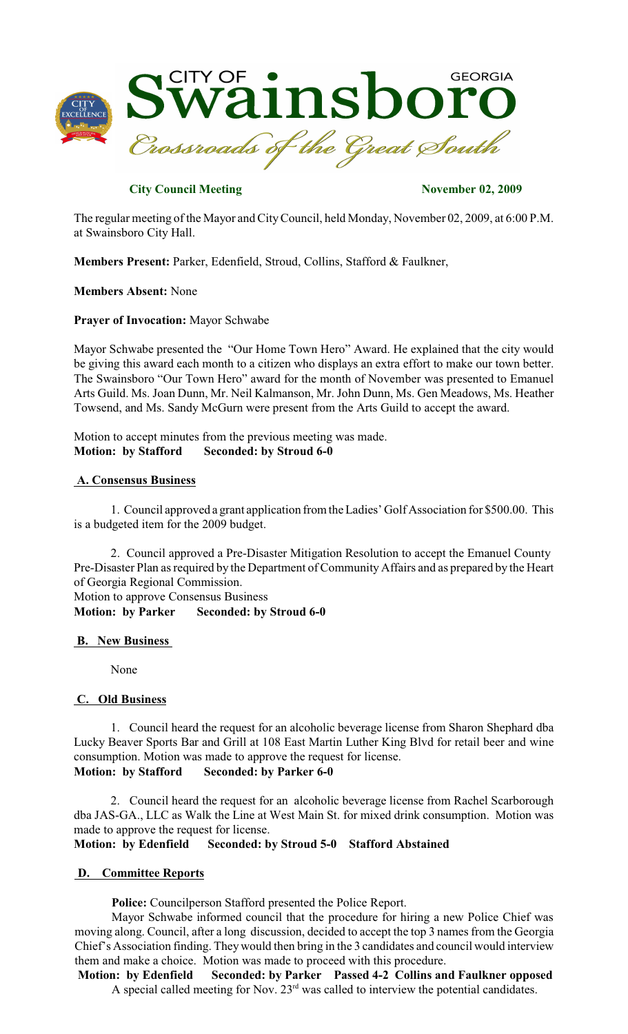

# **City Council Meeting November 02, 2009**

The regular meeting of the Mayor and CityCouncil, held Monday, November 02, 2009, at 6:00 P.M. at Swainsboro City Hall.

**Members Present:** Parker, Edenfield, Stroud, Collins, Stafford & Faulkner,

**Members Absent:** None

**Prayer of Invocation:** Mayor Schwabe

Mayor Schwabe presented the "Our Home Town Hero" Award. He explained that the city would be giving this award each month to a citizen who displays an extra effort to make our town better. The Swainsboro "Our Town Hero" award for the month of November was presented to Emanuel Arts Guild. Ms. Joan Dunn, Mr. Neil Kalmanson, Mr. John Dunn, Ms. Gen Meadows, Ms. Heather Towsend, and Ms. Sandy McGurn were present from the Arts Guild to accept the award.

Motion to accept minutes from the previous meeting was made. **Motion: by Stafford Seconded: by Stroud 6-0**

## **A. Consensus Business**

1. Council approved a grant application from the Ladies' Golf Association for \$500.00. This is a budgeted item for the 2009 budget.

2. Council approved a Pre-Disaster Mitigation Resolution to accept the Emanuel County Pre-Disaster Plan as required by the Department of Community Affairs and as prepared by the Heart of Georgia Regional Commission. Motion to approve Consensus Business

**Motion: by Parker Seconded: by Stroud 6-0**

## **B. New Business**

None

## **C. Old Business**

1. Council heard the request for an alcoholic beverage license from Sharon Shephard dba Lucky Beaver Sports Bar and Grill at 108 East Martin Luther King Blvd for retail beer and wine consumption. Motion was made to approve the request for license. **Motion: by Stafford Seconded: by Parker 6-0**

2. Council heard the request for an alcoholic beverage license from Rachel Scarborough dba JAS-GA., LLC as Walk the Line at West Main St. for mixed drink consumption. Motion was made to approve the request for license.

**Motion: by Edenfield Seconded: by Stroud 5-0 Stafford Abstained**

## **D. Committee Reports**

**Police:** Councilperson Stafford presented the Police Report.

Mayor Schwabe informed council that the procedure for hiring a new Police Chief was moving along. Council, after a long discussion, decided to accept the top 3 names from the Georgia Chief's Association finding. Theywould then bring in the 3 candidates and council would interview them and make a choice. Motion was made to proceed with this procedure.

**Motion: by Edenfield Seconded: by Parker Passed 4-2 Collins and Faulkner opposed** A special called meeting for Nov.  $23<sup>rd</sup>$  was called to interview the potential candidates.